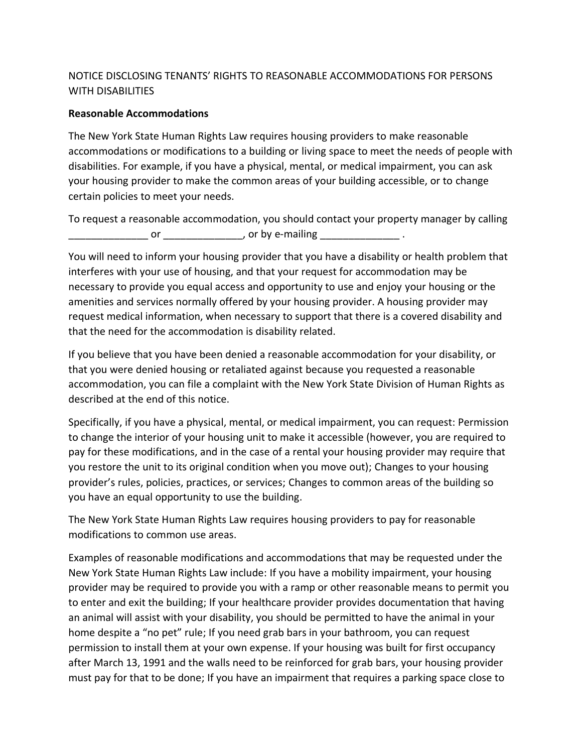## NOTICE DISCLOSING TENANTS' RIGHTS TO REASONABLE ACCOMMODATIONS FOR PERSONS WITH DISABILITIES

## **Reasonable Accommodations**

The New York State Human Rights Law requires housing providers to make reasonable accommodations or modifications to a building or living space to meet the needs of people with disabilities. For example, if you have a physical, mental, or medical impairment, you can ask your housing provider to make the common areas of your building accessible, or to change certain policies to meet your needs.

To request a reasonable accommodation, you should contact your property manager by calling \_\_\_\_\_\_\_\_\_\_\_\_\_ or \_\_\_\_\_\_\_\_\_\_\_\_\_\_\_\_\_\_\_\_, or by e-mailing \_\_\_\_\_\_\_\_\_\_\_\_\_\_\_\_\_\_\_ .

You will need to inform your housing provider that you have a disability or health problem that interferes with your use of housing, and that your request for accommodation may be necessary to provide you equal access and opportunity to use and enjoy your housing or the amenities and services normally offered by your housing provider. A housing provider may request medical information, when necessary to support that there is a covered disability and that the need for the accommodation is disability related.

If you believe that you have been denied a reasonable accommodation for your disability, or that you were denied housing or retaliated against because you requested a reasonable accommodation, you can file a complaint with the New York State Division of Human Rights as described at the end of this notice.

Specifically, if you have a physical, mental, or medical impairment, you can request: Permission to change the interior of your housing unit to make it accessible (however, you are required to pay for these modifications, and in the case of a rental your housing provider may require that you restore the unit to its original condition when you move out); Changes to your housing provider's rules, policies, practices, or services; Changes to common areas of the building so you have an equal opportunity to use the building.

The New York State Human Rights Law requires housing providers to pay for reasonable modifications to common use areas.

Examples of reasonable modifications and accommodations that may be requested under the New York State Human Rights Law include: If you have a mobility impairment, your housing provider may be required to provide you with a ramp or other reasonable means to permit you to enter and exit the building; If your healthcare provider provides documentation that having an animal will assist with your disability, you should be permitted to have the animal in your home despite a "no pet" rule; If you need grab bars in your bathroom, you can request permission to install them at your own expense. If your housing was built for first occupancy after March 13, 1991 and the walls need to be reinforced for grab bars, your housing provider must pay for that to be done; If you have an impairment that requires a parking space close to